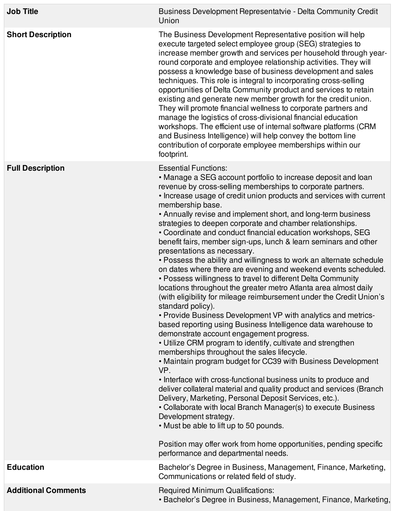| <b>Job Title</b>           | Business Development Representatvie - Delta Community Credit<br>Union                                                                                                                                                                                                                                                                                                                                                                                                                                                                                                                                                                                                                                                                                                                                                                                                                                                                                                                                                                                                                                                                                                                                                                                                                                                                                                                                                                                                                                                                                                                                                                                                                                                                                      |
|----------------------------|------------------------------------------------------------------------------------------------------------------------------------------------------------------------------------------------------------------------------------------------------------------------------------------------------------------------------------------------------------------------------------------------------------------------------------------------------------------------------------------------------------------------------------------------------------------------------------------------------------------------------------------------------------------------------------------------------------------------------------------------------------------------------------------------------------------------------------------------------------------------------------------------------------------------------------------------------------------------------------------------------------------------------------------------------------------------------------------------------------------------------------------------------------------------------------------------------------------------------------------------------------------------------------------------------------------------------------------------------------------------------------------------------------------------------------------------------------------------------------------------------------------------------------------------------------------------------------------------------------------------------------------------------------------------------------------------------------------------------------------------------------|
| <b>Short Description</b>   | The Business Development Representative position will help<br>execute targeted select employee group (SEG) strategies to<br>increase member growth and services per household through year-<br>round corporate and employee relationship activities. They will<br>possess a knowledge base of business development and sales<br>techniques. This role is integral to incorporating cross-selling<br>opportunities of Delta Community product and services to retain<br>existing and generate new member growth for the credit union.<br>They will promote financial wellness to corporate partners and<br>manage the logistics of cross-divisional financial education<br>workshops. The efficient use of internal software platforms (CRM<br>and Business Intelligence) will help convey the bottom line<br>contribution of corporate employee memberships within our<br>footprint.                                                                                                                                                                                                                                                                                                                                                                                                                                                                                                                                                                                                                                                                                                                                                                                                                                                                       |
| <b>Full Description</b>    | <b>Essential Functions:</b><br>• Manage a SEG account portfolio to increase deposit and loan<br>revenue by cross-selling memberships to corporate partners.<br>• Increase usage of credit union products and services with current<br>membership base.<br>• Annually revise and implement short, and long-term business<br>strategies to deepen corporate and chamber relationships.<br>• Coordinate and conduct financial education workshops, SEG<br>benefit fairs, member sign-ups, lunch & learn seminars and other<br>presentations as necessary.<br>• Possess the ability and willingness to work an alternate schedule<br>on dates where there are evening and weekend events scheduled.<br>• Possess willingness to travel to different Delta Community<br>locations throughout the greater metro Atlanta area almost daily<br>(with eligibility for mileage reimbursement under the Credit Union's<br>standard policy).<br>• Provide Business Development VP with analytics and metrics-<br>based reporting using Business Intelligence data warehouse to<br>demonstrate account engagement progress.<br>• Utilize CRM program to identify, cultivate and strengthen<br>memberships throughout the sales lifecycle.<br>• Maintain program budget for CC39 with Business Development<br>VP.<br>• Interface with cross-functional business units to produce and<br>deliver collateral material and quality product and services (Branch<br>Delivery, Marketing, Personal Deposit Services, etc.).<br>• Collaborate with local Branch Manager(s) to execute Business<br>Development strategy.<br>• Must be able to lift up to 50 pounds.<br>Position may offer work from home opportunities, pending specific<br>performance and departmental needs. |
| <b>Education</b>           | Bachelor's Degree in Business, Management, Finance, Marketing,<br>Communications or related field of study.                                                                                                                                                                                                                                                                                                                                                                                                                                                                                                                                                                                                                                                                                                                                                                                                                                                                                                                                                                                                                                                                                                                                                                                                                                                                                                                                                                                                                                                                                                                                                                                                                                                |
| <b>Additional Comments</b> | <b>Required Minimum Qualifications:</b><br>• Bachelor's Degree in Business, Management, Finance, Marketing,                                                                                                                                                                                                                                                                                                                                                                                                                                                                                                                                                                                                                                                                                                                                                                                                                                                                                                                                                                                                                                                                                                                                                                                                                                                                                                                                                                                                                                                                                                                                                                                                                                                |